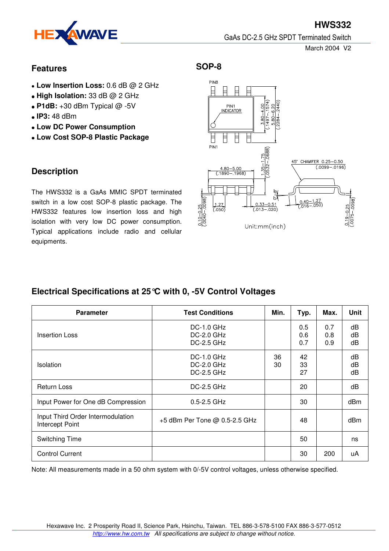

**HWS332** GaAs DC-2.5 GHz SPDT Terminated Switch

March 2004 V2

### **Features**

- **Low Insertion Loss:** 0.6 dB @ 2 GHz
- **High Isolation:** 33 dB @ 2 GHz
- $\bullet$  **P1dB:**  $+30$  dBm Typical  $@$  -5V
- **IP3:** 48 dBm
- **Low DC Power Consumption**
- **Low Cost SOP-8 Plastic Package**

## **Description**

The HWS332 is a GaAs MMIC SPDT terminated switch in a low cost SOP-8 plastic package. The HWS332 features low insertion loss and high isolation with very low DC power consumption. Typical applications include radio and cellular equipments.

### **SOP-8**



# **Electrical Specifications at 25°C with 0, -5V Control Voltages**

| <b>Parameter</b>                                     | <b>Test Conditions</b>                                   | Min.     | Typ.              | Max.              | <b>Unit</b>     |
|------------------------------------------------------|----------------------------------------------------------|----------|-------------------|-------------------|-----------------|
| <b>Insertion Loss</b>                                | <b>DC-1.0 GHz</b><br>$DC-2.0$ $GHz$<br><b>DC-2.5 GHz</b> |          | 0.5<br>0.6<br>0.7 | 0.7<br>0.8<br>0.9 | dB<br>dB<br>dB  |
| Isolation                                            | <b>DC-1.0 GHz</b><br><b>DC-2.0 GHz</b><br>$DC-2.5$ $GHz$ | 36<br>30 | 42<br>33<br>27    |                   | dB<br>dB<br>dB  |
| <b>Return Loss</b>                                   | <b>DC-2.5 GHz</b>                                        |          | 20                |                   | dB              |
| Input Power for One dB Compression                   | $0.5 - 2.5$ GHz                                          |          | 30                |                   | dBm             |
| Input Third Order Intermodulation<br>Intercept Point | +5 dBm Per Tone @ 0.5-2.5 GHz                            |          | 48                |                   | dB <sub>m</sub> |
| Switching Time                                       |                                                          |          | 50                |                   | ns              |
| <b>Control Current</b>                               |                                                          |          | 30                | 200               | uA              |

Note: All measurements made in a 50 ohm system with 0/-5V control voltages, unless otherwise specified.